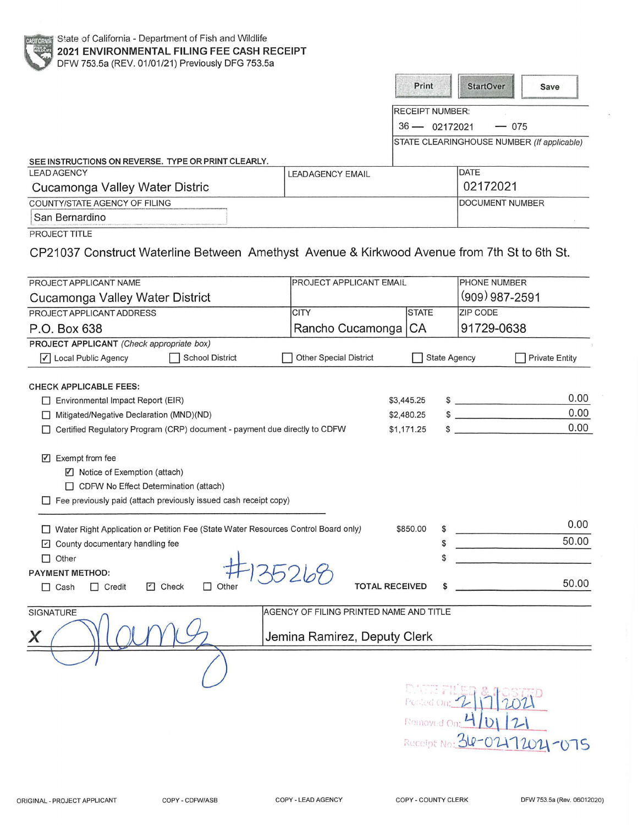|                                                                                                                                                                                                                                                                                                                                               |                                         | Print                                  | <b>StartOver</b><br>Save                   |
|-----------------------------------------------------------------------------------------------------------------------------------------------------------------------------------------------------------------------------------------------------------------------------------------------------------------------------------------------|-----------------------------------------|----------------------------------------|--------------------------------------------|
|                                                                                                                                                                                                                                                                                                                                               |                                         | <b>RECEIPT NUMBER:</b>                 |                                            |
|                                                                                                                                                                                                                                                                                                                                               |                                         | 36 - 02172021                          | $-075$                                     |
|                                                                                                                                                                                                                                                                                                                                               |                                         |                                        | STATE CLEARINGHOUSE NUMBER (If applicable) |
|                                                                                                                                                                                                                                                                                                                                               |                                         |                                        |                                            |
| SEE INSTRUCTIONS ON REVERSE. TYPE OR PRINT CLEARLY.<br><b>LEAD AGENCY</b>                                                                                                                                                                                                                                                                     |                                         |                                        | <b>DATE</b>                                |
| Cucamonga Valley Water Distric                                                                                                                                                                                                                                                                                                                | <b>LEADAGENCY EMAIL</b>                 |                                        | 02172021                                   |
| <b>COUNTY/STATE AGENCY OF FILING</b>                                                                                                                                                                                                                                                                                                          |                                         |                                        | <b>DOCUMENT NUMBER</b>                     |
| San Bernardino                                                                                                                                                                                                                                                                                                                                |                                         |                                        |                                            |
| PROJECT TITLE                                                                                                                                                                                                                                                                                                                                 |                                         |                                        |                                            |
| CP21037 Construct Waterline Between Amethyst Avenue & Kirkwood Avenue from 7th St to 6th St.                                                                                                                                                                                                                                                  |                                         |                                        |                                            |
| PROJECT APPLICANT NAME                                                                                                                                                                                                                                                                                                                        | PROJECT APPLICANT EMAIL                 |                                        | PHONE NUMBER                               |
| Cucamonga Valley Water District                                                                                                                                                                                                                                                                                                               |                                         |                                        | (909) 987-2591                             |
| PROJECT APPLICANT ADDRESS                                                                                                                                                                                                                                                                                                                     | <b>CITY</b>                             | <b>STATE</b>                           | <b>ZIP CODE</b>                            |
| P.O. Box 638                                                                                                                                                                                                                                                                                                                                  | Rancho Cucamonga                        | CA                                     | 91729-0638                                 |
| PROJECT APPLICANT (Check appropriate box)                                                                                                                                                                                                                                                                                                     |                                         |                                        |                                            |
| √ Local Public Agency<br><b>School District</b>                                                                                                                                                                                                                                                                                               | <b>Other Special District</b>           | <b>State Agency</b>                    | <b>Private Entity</b>                      |
| Environmental Impact Report (EIR)<br>Mitigated/Negative Declaration (MND)(ND)<br>Certified Regulatory Program (CRP) document - payment due directly to CDFW<br>$\triangledown$ Exempt from fee<br>☑ Notice of Exemption (attach)<br>CDFW No Effect Determination (attach)<br>Fee previously paid (attach previously issued cash receipt copy) |                                         | \$3,445.25<br>\$2,480.25<br>\$1,171.25 | 0.00<br>$\frac{1}{2}$<br>0.00<br>0.00      |
| □ Water Right Application or Petition Fee (State Water Resources Control Board only)                                                                                                                                                                                                                                                          |                                         | \$850.00<br>\$                         | 0.00                                       |
| County documentary handling fee                                                                                                                                                                                                                                                                                                               |                                         | \$                                     | 50.00                                      |
| Other                                                                                                                                                                                                                                                                                                                                         |                                         | \$                                     |                                            |
| PAYMENT METHOD:<br><b>D</b> Check<br>$\Box$ Other<br>$\Box$ Cash<br>$\Box$ Credit                                                                                                                                                                                                                                                             |                                         | <b>TOTAL RECEIVED</b>                  | 50.00                                      |
| SIGNATURE                                                                                                                                                                                                                                                                                                                                     | AGENCY OF FILING PRINTED NAME AND TITLE |                                        |                                            |
| X                                                                                                                                                                                                                                                                                                                                             | Jemina Ramirez, Deputy Clerk            |                                        |                                            |
|                                                                                                                                                                                                                                                                                                                                               |                                         | Removed On:                            | Receipt No: 36-02172021-075                |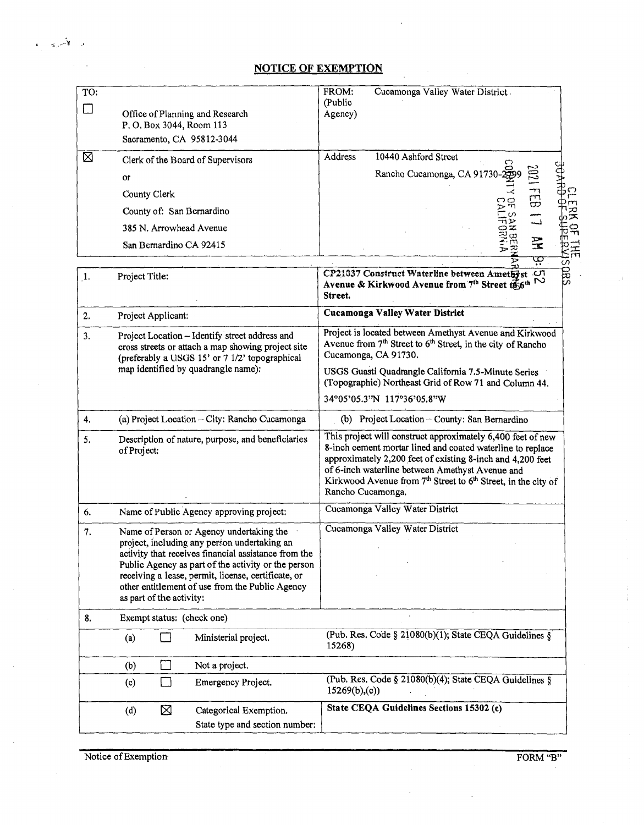## **NOTICE OF EXEMPTION**

| TO:                |                                                                                                                                                                                                                                                                                                                                               | FROM:<br>Cucamonga Valley Water District<br>(Public                                                                                                                                                                                                                                                                                  |  |  |  |
|--------------------|-----------------------------------------------------------------------------------------------------------------------------------------------------------------------------------------------------------------------------------------------------------------------------------------------------------------------------------------------|--------------------------------------------------------------------------------------------------------------------------------------------------------------------------------------------------------------------------------------------------------------------------------------------------------------------------------------|--|--|--|
| □                  | Office of Planning and Research<br>P. O. Box 3044, Room 113                                                                                                                                                                                                                                                                                   | Agency)                                                                                                                                                                                                                                                                                                                              |  |  |  |
|                    | Sacramento, CA 95812-3044                                                                                                                                                                                                                                                                                                                     |                                                                                                                                                                                                                                                                                                                                      |  |  |  |
| ⊠                  | Clerk of the Board of Supervisors                                                                                                                                                                                                                                                                                                             | Address<br>10440 Ashford Street                                                                                                                                                                                                                                                                                                      |  |  |  |
|                    | or                                                                                                                                                                                                                                                                                                                                            | Rancho Cucamonga, CA 91730-2599                                                                                                                                                                                                                                                                                                      |  |  |  |
|                    | County Clerk                                                                                                                                                                                                                                                                                                                                  | $\Xi$                                                                                                                                                                                                                                                                                                                                |  |  |  |
|                    | County of: San Bernardino                                                                                                                                                                                                                                                                                                                     | চ শ<br>⊤ທ<br>ᄎ                                                                                                                                                                                                                                                                                                                       |  |  |  |
|                    | 385 N. Arrowhead Avenue                                                                                                                                                                                                                                                                                                                       | سس<br>احسا<br>ተነጋ><br>$\overline{P}$<br>$\frac{1}{2}$                                                                                                                                                                                                                                                                                |  |  |  |
|                    | San Bernardino CA 92415                                                                                                                                                                                                                                                                                                                       | $\Xi$<br>로<br>芝                                                                                                                                                                                                                                                                                                                      |  |  |  |
|                    |                                                                                                                                                                                                                                                                                                                                               | ড়                                                                                                                                                                                                                                                                                                                                   |  |  |  |
| $\mathbf{1}$       | Project Title:                                                                                                                                                                                                                                                                                                                                | smsi<br>CP21037 Construct Waterline between Amethyst<br>Avenue & Kirkwood Avenue from 7th Street to 6th N<br>Street.                                                                                                                                                                                                                 |  |  |  |
| 2.                 | Project Applicant:                                                                                                                                                                                                                                                                                                                            | <b>Cucamonga Valley Water District</b>                                                                                                                                                                                                                                                                                               |  |  |  |
| 3.                 | Project Location - Identify street address and<br>cross streets or attach a map showing project site<br>(preferably a USGS 15' or 7 1/2' topographical                                                                                                                                                                                        | Project is located between Amethyst Avenue and Kirkwood<br>Avenue from $7th$ Street to $6th$ Street, in the city of Rancho<br>Cucamonga, CA 91730.                                                                                                                                                                                   |  |  |  |
|                    | map identified by quadrangle name):                                                                                                                                                                                                                                                                                                           | USGS Guasti Quadrangle California 7.5-Minute Series<br>(Topographic) Northeast Grid of Row 71 and Column 44.                                                                                                                                                                                                                         |  |  |  |
|                    |                                                                                                                                                                                                                                                                                                                                               | 34°05'05.3"N 117°36'05.8"W                                                                                                                                                                                                                                                                                                           |  |  |  |
| $\boldsymbol{4}$ . | (a) Project Location - City: Rancho Cucamonga                                                                                                                                                                                                                                                                                                 | (b) Project Location - County: San Bernardino                                                                                                                                                                                                                                                                                        |  |  |  |
| 5.                 | Description of nature, purpose, and beneficiaries<br>of Project:                                                                                                                                                                                                                                                                              | This project will construct approximately 6,400 feet of new<br>8-inch cement mortar lined and coated waterline to replace<br>approximately 2,200 feet of existing 8-inch and 4,200 feet<br>of 6-inch waterline between Amethyst Avenue and<br>Kirkwood Avenue from $7th$ Street to $6th$ Street, in the city of<br>Rancho Cucamonga. |  |  |  |
| 6.                 | Name of Public Agency approving project:                                                                                                                                                                                                                                                                                                      | Cucamonga Valley Water District                                                                                                                                                                                                                                                                                                      |  |  |  |
| 7.                 | Name of Person or Agency undertaking the<br>project, including any person undertaking an<br>activity that receives financial assistance from the<br>Public Agency as part of the activity or the person<br>receiving a lease, permit, license, certificate, or<br>other entitlement of use from the Public Agency<br>as part of the activity: | Cucamonga Valley Water District                                                                                                                                                                                                                                                                                                      |  |  |  |
| 8.                 | Exempt status: (check one)                                                                                                                                                                                                                                                                                                                    |                                                                                                                                                                                                                                                                                                                                      |  |  |  |
|                    | Ministerial project.<br>(a)                                                                                                                                                                                                                                                                                                                   | (Pub. Res. Code § 21080(b)(1); State CEQA Guidelines §<br>15268)                                                                                                                                                                                                                                                                     |  |  |  |
|                    | (b)<br>Not a project.                                                                                                                                                                                                                                                                                                                         |                                                                                                                                                                                                                                                                                                                                      |  |  |  |
|                    | Emergency Project.<br>(c)                                                                                                                                                                                                                                                                                                                     | (Pub. Res. Code § 21080(b)(4); State CEQA Guidelines §<br>15269(b),(c)                                                                                                                                                                                                                                                               |  |  |  |
|                    | ⊠<br>Categorical Exemption.<br>(d)<br>State type and section number:                                                                                                                                                                                                                                                                          | State CEQA Guidelines Sections 15302 (c)                                                                                                                                                                                                                                                                                             |  |  |  |
|                    |                                                                                                                                                                                                                                                                                                                                               |                                                                                                                                                                                                                                                                                                                                      |  |  |  |

Notice of Exemption FORM "B"

 $\mathcal{L}$ 

 $x - 8$ 

 $\ddot{\phantom{a}}$